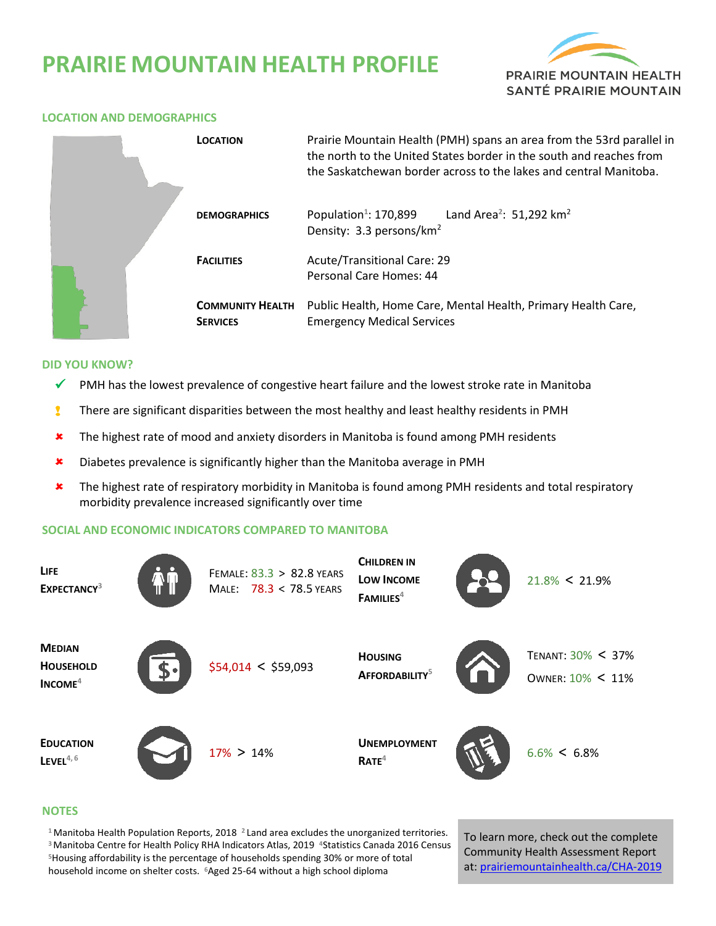# **PRAIRIE MOUNTAIN HEALTH PROFILE**



## **LOCATION AND DEMOGRAPHICS**



#### **DID YOU KNOW?**

- $\checkmark$  PMH has the lowest prevalence of congestive heart failure and the lowest stroke rate in Manitoba
- **I** There are significant disparities between the most healthy and least healthy residents in PMH
- \* The highest rate of mood and anxiety disorders in Manitoba is found among PMH residents
- **x** Diabetes prevalence is significantly higher than the Manitoba average in PMH
- The highest rate of respiratory morbidity in Manitoba is found among PMH residents and total respiratory morbidity prevalence increased significantly over time

# **SOCIAL AND ECONOMIC INDICATORS COMPARED TO MANITOBA**

| <b>LIFE</b><br>EXPECTANCY <sup>3</sup>         | FEMALE: 83.3 > 82.8 YEARS<br>MALE: 78.3 < 78.5 YEARS | <b>CHILDREN IN</b><br>LOW INCOME<br>FAMILIES <sup>4</sup> | $21.8\% < 21.9\%$                     |
|------------------------------------------------|------------------------------------------------------|-----------------------------------------------------------|---------------------------------------|
| <b>MEDIAN</b><br><b>HOUSEHOLD</b><br>$INCOME4$ | \$54,014 < \$59,093                                  | <b>HOUSING</b><br>AFFORDABILITY <sup>5</sup>              | TENANT: 30% < 37%<br>OWNER: 10% < 11% |
| <b>EDUCATION</b><br>LEVEL $4, 6$               | $17\% > 14\%$                                        | <b>UNEMPLOYMENT</b><br>RATE <sup>4</sup>                  | $6.6\% < 6.8\%$                       |

### **NOTES**

Manitoba Health Population Reports, 2018 **<sup>2</sup>**Land area excludes the unorganized territories. Manitoba Centre for Health Policy RHA Indicators Atlas, 2019 **<sup>4</sup>**Statistics Canada 2016 Census Housing affordability is the percentage of households spending 30% or more of total household income on shelter costs. **<sup>6</sup>**Aged 25-64 without a high school diploma

To learn more, check out the complete Community Health Assessment Report at[: prairiemountainhealth.ca/CHA-2019](https://prairiemountainhealth.ca/CHA-2019)